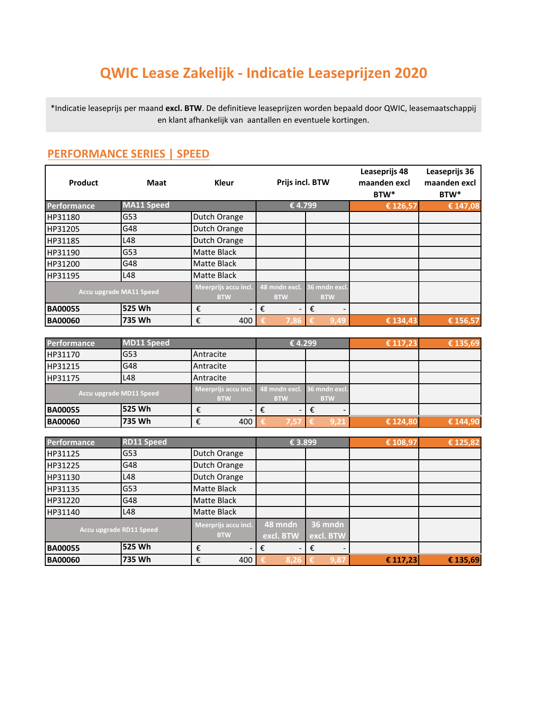# **QWIC Lease Zakelijk - Indicatie Leaseprijzen 2020**

\*Indicatie leaseprijs per maand **excl. BTW**. De definitieve leaseprijzen worden bepaald door QWIC, leasemaatschappij en klant afhankelijk van aantallen en eventuele kortingen.

| Product                 | <b>Maat</b>       | Kleur                              | Prijs incl. BTW             |                             | Leaseprijs 48<br>maanden excl<br>BTW* | Leaseprijs 36<br>maanden excl<br>BTW* |
|-------------------------|-------------------|------------------------------------|-----------------------------|-----------------------------|---------------------------------------|---------------------------------------|
| <b>Performance</b>      | <b>MA11 Speed</b> |                                    |                             | €4.799                      | € 126,57                              | € 147,08                              |
| HP31180                 | G53               | Dutch Orange                       |                             |                             |                                       |                                       |
| HP31205                 | G48               | Dutch Orange                       |                             |                             |                                       |                                       |
| HP31185                 | L48               | Dutch Orange                       |                             |                             |                                       |                                       |
| HP31190                 | G53               | <b>Matte Black</b>                 |                             |                             |                                       |                                       |
| HP31200                 | G48               | Matte Black                        |                             |                             |                                       |                                       |
| HP31195                 | L48               | <b>Matte Black</b>                 |                             |                             |                                       |                                       |
| Accu upgrade MA11 Speed |                   | Meerprijs accu incl.<br><b>BTW</b> | 48 mndn excl.<br><b>BTW</b> | 36 mndn excl.<br><b>BTW</b> |                                       |                                       |
| <b>BA00055</b>          | 525 Wh            | €                                  | €                           | €                           |                                       |                                       |
| <b>BA00060</b>          | 735 Wh            | €<br>400                           | 7,86<br>€                   | 9,49<br>€                   | € 134,43                              | € 156,57                              |

#### **PERFORMANCE SERIES | SPEED**

| <b>Performance</b>      | MD11 Speed |                                    | €4.299                      |                             | € 117,23 | € 135,69 |
|-------------------------|------------|------------------------------------|-----------------------------|-----------------------------|----------|----------|
| HP31170                 | G53        | Antracite                          |                             |                             |          |          |
| HP31215                 | G48        | Antracite                          |                             |                             |          |          |
| HP31175                 | L48        | Antracite                          |                             |                             |          |          |
| Accu upgrade MD11 Speed |            | Meerprijs accu incl.<br><b>BTW</b> | 48 mndn excl.<br><b>BTW</b> | 36 mndn excl.<br><b>BTW</b> |          |          |
| <b>BA00055</b>          | l525 Wh    | €<br>$\overline{\phantom{0}}$      |                             |                             |          |          |
| <b>BA00060</b>          | 735 Wh     | 400<br>€                           | 7.57                        | 9,21                        | € 124,80 | € 144,90 |

| <b>Performance</b>      | RD11 Speed |                                    | € 3.899              |                      | € 108,97 | € 125,82 |
|-------------------------|------------|------------------------------------|----------------------|----------------------|----------|----------|
| HP31125                 | G53        | Dutch Orange                       |                      |                      |          |          |
| HP31225                 | G48        | Dutch Orange                       |                      |                      |          |          |
| HP31130                 | L48        | Dutch Orange                       |                      |                      |          |          |
| HP31135                 | G53        | <b>Matte Black</b>                 |                      |                      |          |          |
| HP31220                 | G48        | Matte Black                        |                      |                      |          |          |
| HP31140                 | L48        | <b>Matte Black</b>                 |                      |                      |          |          |
| Accu upgrade RD11 Speed |            | Meerprijs accu incl.<br><b>BTW</b> | 48 mndn<br>excl. BTW | 36 mndn<br>excl. BTW |          |          |
| <b>BA00055</b>          | 525 Wh     | €                                  | €<br>-               | €                    |          |          |
| <b>BA00060</b>          | 735 Wh     | 400<br>€                           | 8,26                 | 9,87                 | € 117,23 | € 135,69 |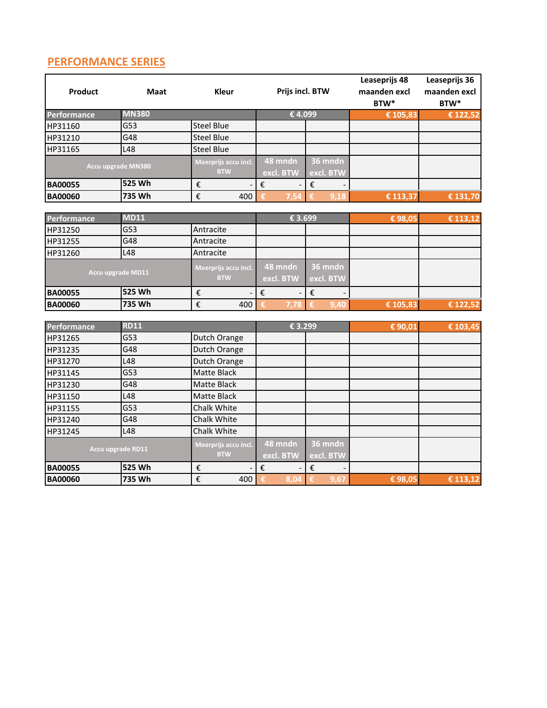### **PERFORMANCE SERIES**

| Product            | <b>Maat</b>        | Kleur                              | Prijs incl. BTW      |                               | Leaseprijs 48<br>maanden excl<br>BTW* | Leaseprijs 36<br>maanden excl<br>BTW* |
|--------------------|--------------------|------------------------------------|----------------------|-------------------------------|---------------------------------------|---------------------------------------|
| <b>Performance</b> | <b>MN380</b>       |                                    | €4.099               |                               | € 105,83                              | € 122,52                              |
| HP31160            | G53                | <b>Steel Blue</b>                  |                      |                               |                                       |                                       |
| HP31210            | G48                | <b>Steel Blue</b>                  |                      |                               |                                       |                                       |
| HP31165            | L48                | <b>Steel Blue</b>                  |                      |                               |                                       |                                       |
|                    | Accu upgrade MN380 | Meerprijs accu incl.<br><b>BTW</b> | 48 mndn<br>excl. BTW | 36 mndn<br>excl. BTW          |                                       |                                       |
| <b>BA00055</b>     | 525 Wh             | €                                  | €                    | $\boldsymbol{\epsilon}$       |                                       |                                       |
| <b>BA00060</b>     | 735 Wh             | €<br>400                           | €<br>7.54            | 9.18<br>€                     | € 113,37                              | € 131,70                              |
|                    |                    |                                    |                      |                               |                                       |                                       |
| Performance        | <b>MD11</b>        |                                    | € 3.699              |                               | €98,05                                | € 113,12                              |
| HP31250            | G53                | Antracite                          |                      |                               |                                       |                                       |
| HP31255            | G48                | Antracite                          |                      |                               |                                       |                                       |
| HP31260            | L48                | Antracite                          |                      |                               |                                       |                                       |
| Accu upgrade MD11  |                    | Meerprijs accu incl.<br><b>BTW</b> | 48 mndn<br>excl. BTW | 36 mndn<br>excl. BTW          |                                       |                                       |
| <b>BA00055</b>     | 525 Wh             | €                                  | €                    | $\boldsymbol{\epsilon}$       |                                       |                                       |
| <b>BA00060</b>     | 735 Wh             | €<br>400                           | €<br>7,78            | 9.40<br>€                     | € 105,83                              | € 122,52                              |
|                    |                    |                                    |                      |                               |                                       |                                       |
| Performance        | <b>RD11</b>        |                                    | € 3.299              |                               | € 90,01                               | € 103,45                              |
| HP31265            | G53                | Dutch Orange                       |                      |                               |                                       |                                       |
| HP31235            | G48                | Dutch Orange                       |                      |                               |                                       |                                       |
| HP31270            | L48                | Dutch Orange                       |                      |                               |                                       |                                       |
| HP31145            | G53                | <b>Matte Black</b>                 |                      |                               |                                       |                                       |
| HP31230            | G48                | <b>Matte Black</b>                 |                      |                               |                                       |                                       |
| HP31150            | L48                | <b>Matte Black</b>                 |                      |                               |                                       |                                       |
| HP31155            | G53                | Chalk White                        |                      |                               |                                       |                                       |
| HP31240            | G48                | Chalk White                        |                      |                               |                                       |                                       |
| HP31245            | L48                | Chalk White                        |                      |                               |                                       |                                       |
|                    | Accu upgrade RD11  | Meerprijs accu incl.<br><b>BTW</b> | 48 mndn<br>excl. BTW | 36 mndn<br>excl. BTW          |                                       |                                       |
| <b>BA00055</b>     | 525 Wh             | €                                  | €                    | $\boldsymbol{\epsilon}$       |                                       |                                       |
| <b>BA00060</b>     | 735 Wh             | €<br>400                           | €<br>8,04            | $\overline{\epsilon}$<br>9,67 | €98,05                                | € 113,12                              |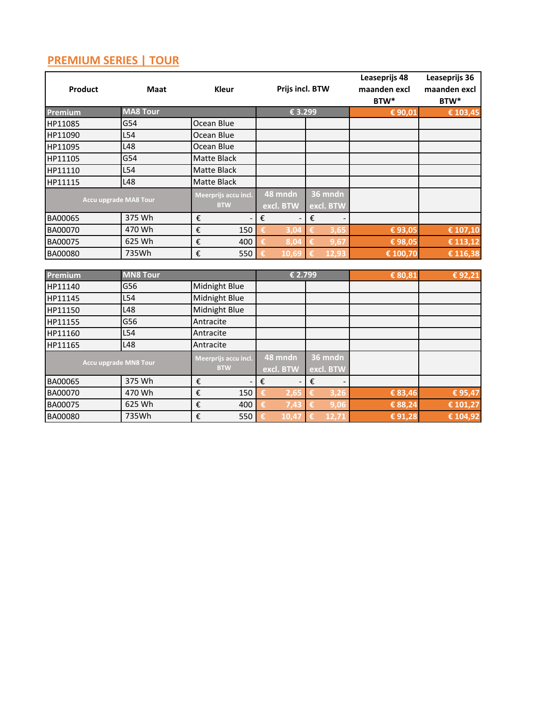## **PREMIUM SERIES | TOUR**

| <b>Product</b>               | <b>Maat</b>                  | <b>Kleur</b>                       |                                              | Prijs incl. BTW |                      |                         |                      | Leaseprijs 48<br>maanden excl<br>BTW* | Leaseprijs 36<br>maanden excl<br>BTW* |
|------------------------------|------------------------------|------------------------------------|----------------------------------------------|-----------------|----------------------|-------------------------|----------------------|---------------------------------------|---------------------------------------|
| Premium                      | <b>MA8 Tour</b>              |                                    |                                              |                 | € 3.299              |                         |                      | € 90,01                               | € 103,45                              |
| HP11085                      | G54                          | Ocean Blue                         |                                              |                 |                      |                         |                      |                                       |                                       |
| HP11090                      | L54                          | Ocean Blue                         |                                              |                 |                      |                         |                      |                                       |                                       |
| HP11095                      | L48                          | Ocean Blue                         |                                              |                 |                      |                         |                      |                                       |                                       |
| HP11105                      | G54                          | <b>Matte Black</b>                 |                                              |                 |                      |                         |                      |                                       |                                       |
| HP11110                      | L54                          | <b>Matte Black</b>                 |                                              |                 |                      |                         |                      |                                       |                                       |
| HP11115                      | L48                          | <b>Matte Black</b>                 |                                              |                 |                      |                         |                      |                                       |                                       |
|                              | <b>Accu upgrade MA8 Tour</b> | Meerprijs accu incl.<br><b>BTW</b> | 48 mndn<br>36 mndn<br>excl. BTW<br>excl. BTW |                 |                      |                         |                      |                                       |                                       |
| BA00065                      | 375 Wh                       | €                                  |                                              | €               |                      | €                       |                      |                                       |                                       |
| <b>BA00070</b>               | 470 Wh                       | €                                  | 150                                          | €               | 3,04                 | €                       | 3,65                 | €93,05                                | € 107,10                              |
| BA00075                      | 625 Wh                       | €                                  | 400                                          |                 | 8,04                 | €                       | 9,67                 | €98,05                                | $E$ 113,12                            |
| <b>BA00080</b>               | 735Wh                        | €                                  | 550                                          | €               | 10.69                |                         | 12.93                | € 100,70                              | € 116,38                              |
| Premium                      | <b>MN8 Tour</b>              |                                    |                                              |                 | € 2.799              |                         |                      | € 80,81                               | €92,21                                |
| HP11140                      | G56                          |                                    | Midnight Blue                                |                 |                      |                         |                      |                                       |                                       |
| HP11145                      | L54                          |                                    | Midnight Blue                                |                 |                      |                         |                      |                                       |                                       |
| HP11150                      | L48                          | Midnight Blue                      |                                              |                 |                      |                         |                      |                                       |                                       |
| HP11155                      | G56                          | Antracite                          |                                              |                 |                      |                         |                      |                                       |                                       |
| HP11160                      | L54                          | Antracite                          |                                              |                 |                      |                         |                      |                                       |                                       |
| HP11165                      | L48                          | Antracite                          |                                              |                 |                      |                         |                      |                                       |                                       |
| <b>Accu upgrade MN8 Tour</b> |                              | Meerprijs accu incl.<br><b>BTW</b> |                                              |                 | 48 mndn<br>excl. BTW |                         | 36 mndn<br>excl. BTW |                                       |                                       |
| BA00065                      | 375 Wh                       | €                                  |                                              | €               |                      | $\boldsymbol{\epsilon}$ |                      |                                       |                                       |
| BA00070                      | 470 Wh                       | €                                  | 150                                          | €               | 2,65                 | €                       | 3,26                 | € 83,46                               | € 95,47                               |
| BA00075                      | 625 Wh                       | €                                  | 400                                          | €               | 7.43                 | €                       | 9,06                 | € 88,24                               | € 101,27                              |
| BA00080                      | 735Wh                        | €                                  | 550                                          | €               | 10,47                | €                       | 12,71                | €91,28                                | € 104,92                              |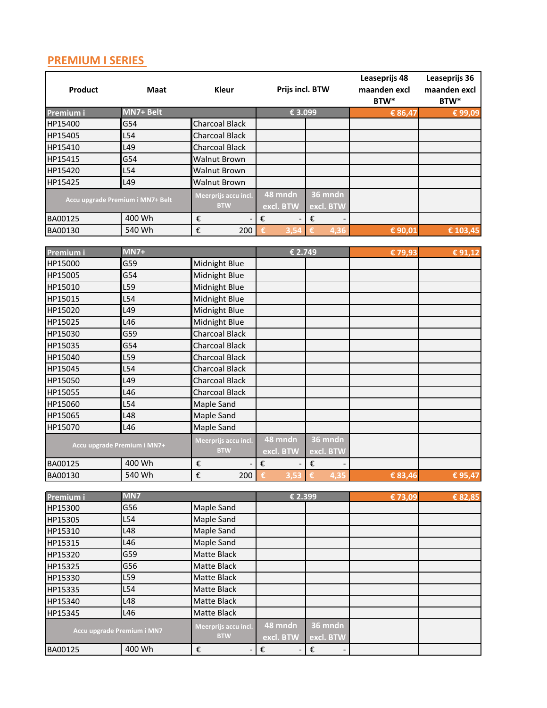### **PREMIUM I SERIES**

| <b>Product</b> | <b>Maat</b>                      | <b>Kleur</b>                       | Prijs incl. BTW      |                         | Leaseprijs 48<br>maanden excl<br>BTW* | Leaseprijs 36<br>maanden excl<br>BTW* |
|----------------|----------------------------------|------------------------------------|----------------------|-------------------------|---------------------------------------|---------------------------------------|
| Premium i      | MN7+ Belt                        |                                    | € 3.099              |                         | € 86,47                               | €99,09                                |
| HP15400        | G54                              | <b>Charcoal Black</b>              |                      |                         |                                       |                                       |
| HP15405        | L54                              | <b>Charcoal Black</b>              |                      |                         |                                       |                                       |
| HP15410        | L49                              | <b>Charcoal Black</b>              |                      |                         |                                       |                                       |
| HP15415        | G54                              | Walnut Brown                       |                      |                         |                                       |                                       |
| HP15420        | L54                              | <b>Walnut Brown</b>                |                      |                         |                                       |                                       |
| HP15425        | L49                              | Walnut Brown                       |                      |                         |                                       |                                       |
|                | Accu upgrade Premium i MN7+ Belt | Meerprijs accu incl.<br><b>BTW</b> | 48 mndn<br>excl. BTW | 36 mndn<br>excl. BTW    |                                       |                                       |
| BA00125        | 400 Wh                           | €                                  | €                    | $\boldsymbol{\epsilon}$ |                                       |                                       |
| BA00130        | 540 Wh                           | €<br>200                           |                      | 4.36                    | € 90,01                               | € 103,45                              |
|                |                                  |                                    |                      |                         |                                       |                                       |
| Premium i      | $MN7+$                           |                                    | € 2.749              |                         | €79,93                                | $\overline{\epsilon}$ 91,12           |
| HP15000        | G59                              | Midnight Blue                      |                      |                         |                                       |                                       |
| HP15005        | G54                              | Midnight Blue                      |                      |                         |                                       |                                       |
| HP15010        | L59                              | Midnight Blue                      |                      |                         |                                       |                                       |
| HP15015        | L54                              | Midnight Blue                      |                      |                         |                                       |                                       |
| HP15020        | L49                              | Midnight Blue                      |                      |                         |                                       |                                       |
| HP15025        | L46                              | Midnight Blue                      |                      |                         |                                       |                                       |
| HP15030        | G59                              | <b>Charcoal Black</b>              |                      |                         |                                       |                                       |
| HP15035        | G54                              | <b>Charcoal Black</b>              |                      |                         |                                       |                                       |
| HP15040        | L59                              | <b>Charcoal Black</b>              |                      |                         |                                       |                                       |
| HP15045        | L54                              | <b>Charcoal Black</b>              |                      |                         |                                       |                                       |
| HP15050        | L49                              | <b>Charcoal Black</b>              |                      |                         |                                       |                                       |
| HP15055        | L46                              | <b>Charcoal Black</b>              |                      |                         |                                       |                                       |
| HP15060        | L54                              | Maple Sand                         |                      |                         |                                       |                                       |
| HP15065        | L48                              | <b>Maple Sand</b>                  |                      |                         |                                       |                                       |
| HP15070        | L46                              | Maple Sand                         |                      |                         |                                       |                                       |
|                | Accu upgrade Premium i MN7+      | Meerprijs accu incl.<br><b>BTW</b> | 48 mndn<br>excl. BTW | 36 mndn<br>excl. BTW    |                                       |                                       |
| BA00125        | 400 Wh                           | €                                  | €                    | $\boldsymbol{\epsilon}$ |                                       |                                       |
| BA00130        | 540 Wh                           | $\pmb{\epsilon}$<br>200            |                      |                         | € 83,46                               | € 95.47                               |
|                |                                  |                                    |                      |                         |                                       |                                       |
| Premium i      | MN7                              |                                    | € 2.399              |                         | €73,09                                | € 82,85                               |
| HP15300        | G56                              | Maple Sand                         |                      |                         |                                       |                                       |
| HP15305        | L54                              | Maple Sand                         |                      |                         |                                       |                                       |
| HP15310        | L48                              | Maple Sand                         |                      |                         |                                       |                                       |
| HP15315        | L46                              | Maple Sand                         |                      |                         |                                       |                                       |
| HP15320        | G59                              | Matte Black                        |                      |                         |                                       |                                       |
| HP15325        | G56                              | Matte Black                        |                      |                         |                                       |                                       |
| HP15330        | L59                              | Matte Black                        |                      |                         |                                       |                                       |
| HP15335        | L54                              | Matte Black                        |                      |                         |                                       |                                       |
| HP15340        | L48                              | Matte Black                        |                      |                         |                                       |                                       |
| HP15345        | L46                              | Matte Black                        |                      |                         |                                       |                                       |
|                | Accu upgrade Premium i MN7       | Meerprijs accu incl.<br><b>BTW</b> | 48 mndn<br>excl. BTW | 36 mndn<br>excl. BTW    |                                       |                                       |
| BA00125        | 400 Wh                           | €                                  | €                    | €                       |                                       |                                       |
|                |                                  |                                    |                      |                         |                                       |                                       |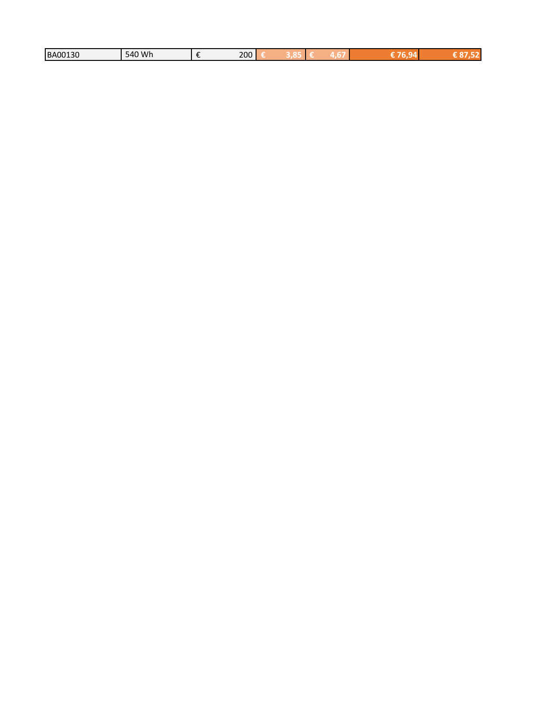| 10 Wh<br>200<br><b>BA00130</b><br><b>540</b> |
|----------------------------------------------|
|----------------------------------------------|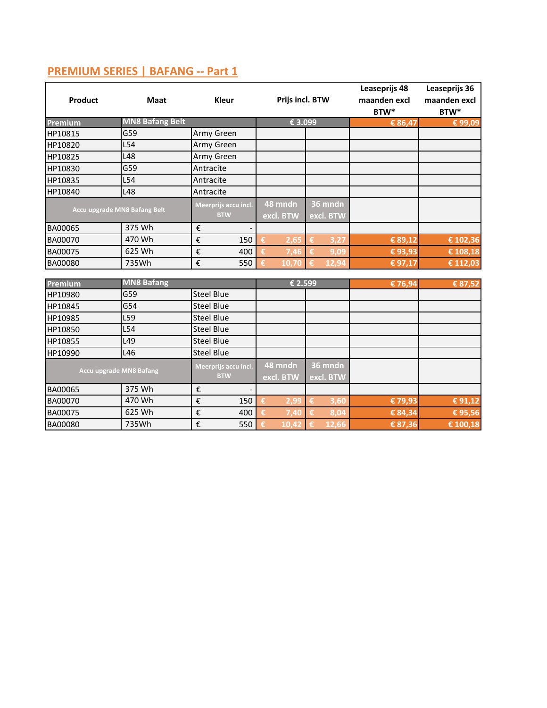| Product                      | <b>Maat</b>                    |                                    | <b>Kleur</b>         |                      | Prijs incl. BTW        |                      |                      | Leaseprijs 48<br>maanden excl<br>BTW* | Leaseprijs 36<br>maanden excl<br>BTW* |
|------------------------------|--------------------------------|------------------------------------|----------------------|----------------------|------------------------|----------------------|----------------------|---------------------------------------|---------------------------------------|
| Premium                      | <b>MN8 Bafang Belt</b>         |                                    |                      |                      | € 3.099                |                      |                      | € 86,47                               | €99,09                                |
| HP10815                      | G59                            | Army Green                         |                      |                      |                        |                      |                      |                                       |                                       |
| HP10820                      | L54                            | Army Green                         |                      |                      |                        |                      |                      |                                       |                                       |
| HP10825                      | L48                            | Army Green                         |                      |                      |                        |                      |                      |                                       |                                       |
| HP10830                      | G59                            | Antracite                          |                      |                      |                        |                      |                      |                                       |                                       |
| HP10835                      | L54                            | Antracite                          |                      |                      |                        |                      |                      |                                       |                                       |
| HP10840                      | L48                            | Antracite                          |                      |                      |                        |                      |                      |                                       |                                       |
| Accu upgrade MN8 Bafang Belt |                                | Meerprijs accu incl.<br><b>BTW</b> |                      | 48 mndn<br>excl. BTW |                        | 36 mndn<br>excl. BTW |                      |                                       |                                       |
| BA00065                      | 375 Wh                         | €                                  |                      |                      |                        |                      |                      |                                       |                                       |
| BA00070                      | 470 Wh                         | €                                  | 150                  | €                    | 2,65                   | $\epsilon$           | 3,27                 | € 89,12                               | € 102,36                              |
| BA00075                      | 625 Wh                         | €                                  | 400                  |                      | 7,46                   | €                    | 9,09                 | €93,93                                | € 108,18                              |
| <b>BA00080</b>               | 735Wh                          | €                                  | 550                  |                      | 10.70                  | €                    | 12,94                | €97,17                                | € 112,03                              |
| Premium                      | <b>MN8 Bafang</b>              |                                    |                      | € 2.599              |                        |                      | € 76,94              | € 87,52                               |                                       |
| HP10980                      | G59                            | <b>Steel Blue</b>                  |                      |                      |                        |                      |                      |                                       |                                       |
| HP10845                      | G54                            | <b>Steel Blue</b>                  |                      |                      |                        |                      |                      |                                       |                                       |
| HP10985                      | L59                            | <b>Steel Blue</b>                  |                      |                      |                        |                      |                      |                                       |                                       |
| HP10850                      | L54                            | <b>Steel Blue</b>                  |                      |                      |                        |                      |                      |                                       |                                       |
| HP10855                      | L49                            | <b>Steel Blue</b>                  |                      |                      |                        |                      |                      |                                       |                                       |
| HP10990                      | L46                            | <b>Steel Blue</b>                  |                      |                      |                        |                      |                      |                                       |                                       |
|                              | <b>Accu upgrade MN8 Bafang</b> |                                    | Meerprijs accu incl. |                      | $48$ mndn<br>excl. BTW |                      | 36 mndn<br>excl. BTW |                                       |                                       |
| BA00065                      | 375 Wh                         | €                                  |                      |                      |                        |                      |                      |                                       |                                       |
| BA00070                      | 470 Wh                         | €                                  | 150                  |                      | 2,99                   | €                    | 3,60                 | € 79,93                               | €91,12                                |
| BA00075                      | 625 Wh                         | €                                  | 400                  |                      | 7,40                   | €                    | 8,04                 | € 84,34                               | €95,56                                |
| BA00080                      | 735Wh                          | €                                  | 550                  |                      | 10,42                  | €                    | 12,66                | € 87,36                               | € 100,18                              |

### **PREMIUM SERIES | BAFANG -- Part 1**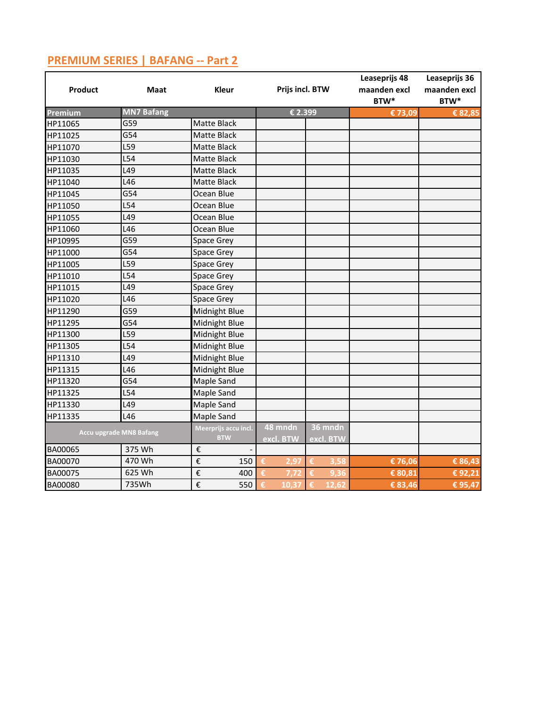| Product        | Maat                           | <b>Kleur</b>                       | Prijs incl. BTW      |                      | Leaseprijs 48<br>maanden excl<br>BTW* | Leaseprijs 36<br>maanden excl<br>BTW* |
|----------------|--------------------------------|------------------------------------|----------------------|----------------------|---------------------------------------|---------------------------------------|
| Premium        | <b>MN7 Bafang</b>              |                                    | € 2.399              |                      | € 73,09                               | € 82,85                               |
| HP11065        | G59                            | Matte Black                        |                      |                      |                                       |                                       |
| HP11025        | G54                            | <b>Matte Black</b>                 |                      |                      |                                       |                                       |
| HP11070        | L59                            | <b>Matte Black</b>                 |                      |                      |                                       |                                       |
| HP11030        | L54                            | Matte Black                        |                      |                      |                                       |                                       |
| HP11035        | L49                            | Matte Black                        |                      |                      |                                       |                                       |
| HP11040        | L46                            | Matte Black                        |                      |                      |                                       |                                       |
| HP11045        | G54                            | Ocean Blue                         |                      |                      |                                       |                                       |
| HP11050        | L54                            | Ocean Blue                         |                      |                      |                                       |                                       |
| HP11055        | L49                            | Ocean Blue                         |                      |                      |                                       |                                       |
| HP11060        | L46                            | Ocean Blue                         |                      |                      |                                       |                                       |
| HP10995        | G59                            | Space Grey                         |                      |                      |                                       |                                       |
| HP11000        | G54                            | Space Grey                         |                      |                      |                                       |                                       |
| HP11005        | L59                            | Space Grey                         |                      |                      |                                       |                                       |
| HP11010        | L54                            | Space Grey                         |                      |                      |                                       |                                       |
| HP11015        | L49                            | Space Grey                         |                      |                      |                                       |                                       |
| HP11020        | L46                            | <b>Space Grey</b>                  |                      |                      |                                       |                                       |
| HP11290        | G59                            | Midnight Blue                      |                      |                      |                                       |                                       |
| HP11295        | G54                            | Midnight Blue                      |                      |                      |                                       |                                       |
| HP11300        | L59                            | Midnight Blue                      |                      |                      |                                       |                                       |
| HP11305        | L54                            | Midnight Blue                      |                      |                      |                                       |                                       |
| HP11310        | L49                            | Midnight Blue                      |                      |                      |                                       |                                       |
| HP11315        | L46                            | Midnight Blue                      |                      |                      |                                       |                                       |
| HP11320        | G54                            | Maple Sand                         |                      |                      |                                       |                                       |
| HP11325        | L54                            | Maple Sand                         |                      |                      |                                       |                                       |
| HP11330        | L49                            | Maple Sand                         |                      |                      |                                       |                                       |
| HP11335        | L46                            | Maple Sand                         |                      |                      |                                       |                                       |
|                | <b>Accu upgrade MN8 Bafang</b> | Meerprijs accu incl.<br><b>BTW</b> | 48 mndn<br>excl. BTW | 36 mndn<br>excl. BTW |                                       |                                       |
| BA00065        | 375 Wh                         | $\boldsymbol{\epsilon}$            |                      |                      |                                       |                                       |
| BA00070        | 470 Wh                         | €<br>150                           | €<br>2,97            | €<br>3,58            | € 76,06                               | € 86,43                               |
| BA00075        | 625 Wh                         | €<br>400                           | £.                   | €<br>9.36            | € 80,81                               | € 92,21                               |
| <b>BA00080</b> | 735Wh                          | €<br>550                           | 10.37                | €<br>12.62           | € 83,46                               | € 95,47                               |

### **PREMIUM SERIES | BAFANG -- Part 2**